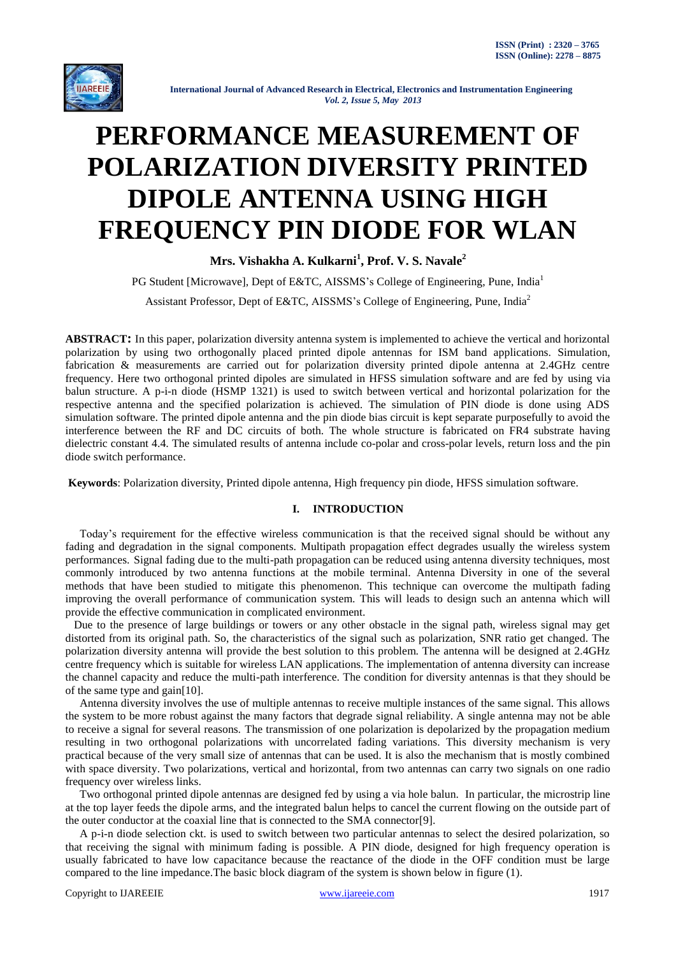

# **PERFORMANCE MEASUREMENT OF POLARIZATION DIVERSITY PRINTED DIPOLE ANTENNA USING HIGH FREQUENCY PIN DIODE FOR WLAN**

**Mrs. Vishakha A. Kulkarni<sup>1</sup> , Prof. V. S. Navale<sup>2</sup>**

PG Student [Microwave], Dept of E&TC, AISSMS's College of Engineering, Pune, India<sup>1</sup> Assistant Professor, Dept of E&TC, AISSMS's College of Engineering, Pune, India<sup>2</sup>

**ABSTRACT:** In this paper, polarization diversity antenna system is implemented to achieve the vertical and horizontal polarization by using two orthogonally placed printed dipole antennas for ISM band applications. Simulation, fabrication & measurements are carried out for polarization diversity printed dipole antenna at 2.4GHz centre frequency. Here two orthogonal printed dipoles are simulated in HFSS simulation software and are fed by using via balun structure. A p-i-n diode (HSMP 1321) is used to switch between vertical and horizontal polarization for the respective antenna and the specified polarization is achieved. The simulation of PIN diode is done using ADS simulation software. The printed dipole antenna and the pin diode bias circuit is kept separate purposefully to avoid the interference between the RF and DC circuits of both. The whole structure is fabricated on FR4 substrate having dielectric constant 4.4. The simulated results of antenna include co-polar and cross-polar levels, return loss and the pin diode switch performance.

**Keywords**: Polarization diversity, Printed dipole antenna, High frequency pin diode, HFSS simulation software.

## **I. INTRODUCTION**

 Today"s requirement for the effective wireless communication is that the received signal should be without any fading and degradation in the signal components. Multipath propagation effect degrades usually the wireless system performances. Signal fading due to the multi-path propagation can be reduced using antenna diversity techniques, most commonly introduced by two antenna functions at the mobile terminal. Antenna Diversity in one of the several methods that have been studied to mitigate this phenomenon. This technique can overcome the multipath fading improving the overall performance of communication system. This will leads to design such an antenna which will provide the effective communication in complicated environment.

 Due to the presence of large buildings or towers or any other obstacle in the signal path, wireless signal may get distorted from its original path. So, the characteristics of the signal such as polarization, SNR ratio get changed. The polarization diversity antenna will provide the best solution to this problem. The antenna will be designed at 2.4GHz centre frequency which is suitable for wireless LAN applications. The implementation of antenna diversity can increase the channel capacity and reduce the multi-path interference. The condition for diversity antennas is that they should be of the same type and gain[10].

 Antenna diversity involves the use of multiple antennas to receive multiple instances of the same signal. This allows the system to be more robust against the many factors that degrade signal reliability. A single antenna may not be able to receive a signal for several reasons. The transmission of one polarization is depolarized by the propagation medium resulting in two orthogonal polarizations with uncorrelated fading variations. This diversity mechanism is very practical because of the very small size of antennas that can be used. It is also the mechanism that is mostly combined with space diversity. Two polarizations, vertical and horizontal, from two antennas can carry two signals on one radio frequency over wireless links.

 Two orthogonal printed dipole antennas are designed fed by using a via hole balun. In particular, the microstrip line at the top layer feeds the dipole arms, and the integrated balun helps to cancel the current flowing on the outside part of the outer conductor at the coaxial line that is connected to the SMA connector[9].

 A p-i-n diode selection ckt. is used to switch between two particular antennas to select the desired polarization, so that receiving the signal with minimum fading is possible. A PIN diode, designed for high frequency operation is usually fabricated to have low capacitance because the reactance of the diode in the OFF condition must be large compared to the line impedance.The basic block diagram of the system is shown below in figure (1).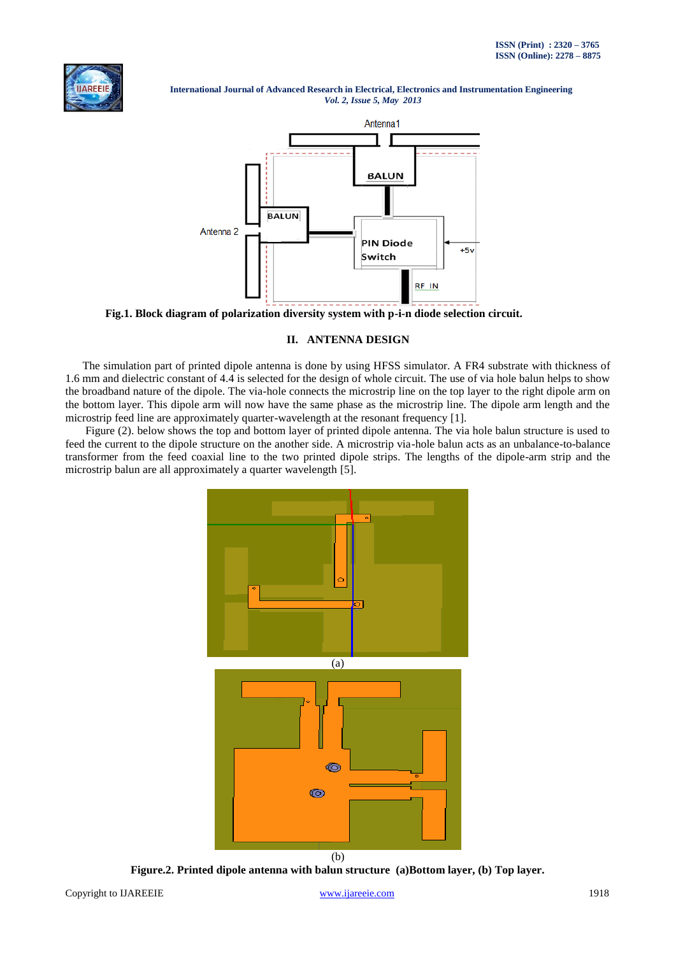



**Fig.1. Block diagram of polarization diversity system with p-i-n diode selection circuit.**

# **II. ANTENNA DESIGN**

 The simulation part of printed dipole antenna is done by using HFSS simulator. A FR4 substrate with thickness of 1.6 mm and dielectric constant of 4.4 is selected for the design of whole circuit. The use of via hole balun helps to show the broadband nature of the dipole. The via-hole connects the microstrip line on the top layer to the right dipole arm on the bottom layer. This dipole arm will now have the same phase as the microstrip line. The dipole arm length and the microstrip feed line are approximately quarter-wavelength at the resonant frequency [1].

 Figure (2). below shows the top and bottom layer of printed dipole antenna. The via hole balun structure is used to feed the current to the dipole structure on the another side. A microstrip via-hole balun acts as an unbalance-to-balance transformer from the feed coaxial line to the two printed dipole strips. The lengths of the dipole-arm strip and the microstrip balun are all approximately a quarter wavelength [5].



**Figure.2. Printed dipole antenna with balun structure (a)Bottom layer, (b) Top layer.**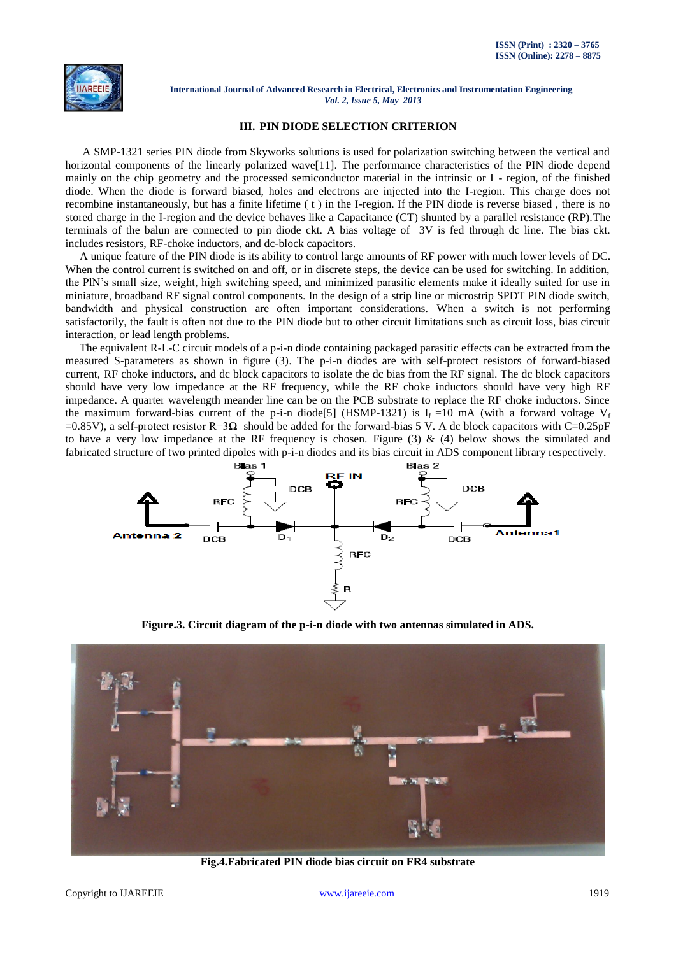

### **III. PIN DIODE SELECTION CRITERION**

 A SMP-1321 series PIN diode from Skyworks solutions is used for polarization switching between the vertical and horizontal components of the linearly polarized wave<sup>[11]</sup>. The performance characteristics of the PIN diode depend mainly on the chip geometry and the processed semiconductor material in the intrinsic or I - region, of the finished diode. When the diode is forward biased, holes and electrons are injected into the I-region. This charge does not recombine instantaneously, but has a finite lifetime ( t ) in the I-region. If the PIN diode is reverse biased , there is no stored charge in the I-region and the device behaves like a Capacitance (CT) shunted by a parallel resistance (RP).The terminals of the balun are connected to pin diode ckt. A bias voltage of 3V is fed through dc line. The bias ckt. includes resistors, RF-choke inductors, and dc-block capacitors.

 A unique feature of the PIN diode is its ability to control large amounts of RF power with much lower levels of DC. When the control current is switched on and off, or in discrete steps, the device can be used for switching. In addition, the PlN"s small size, weight, high switching speed, and minimized parasitic elements make it ideally suited for use in miniature, broadband RF signal control components. In the design of a strip line or microstrip SPDT PIN diode switch, bandwidth and physical construction are often important considerations. When a switch is not performing satisfactorily, the fault is often not due to the PIN diode but to other circuit limitations such as circuit loss, bias circuit interaction, or lead length problems.

 The equivalent R-L-C circuit models of a p-i-n diode containing packaged parasitic effects can be extracted from the measured S-parameters as shown in figure (3). The p-i-n diodes are with self-protect resistors of forward-biased current, RF choke inductors, and dc block capacitors to isolate the dc bias from the RF signal. The dc block capacitors should have very low impedance at the RF frequency, while the RF choke inductors should have very high RF impedance. A quarter wavelength meander line can be on the PCB substrate to replace the RF choke inductors. Since the maximum forward-bias current of the p-i-n diode<sup>[5]</sup> (HSMP-1321) is  $I_f = 10$  mA (with a forward voltage  $V_f$ =0.85V), a self-protect resistor R=3 $\Omega$  should be added for the forward-bias 5 V. A dc block capacitors with C=0.25pF to have a very low impedance at the RF frequency is chosen. Figure  $(3)$  &  $(4)$  below shows the simulated and fabricated structure of two printed dipoles with p-i-n diodes and its bias circuit in ADS component library respectively.



**Figure.3. Circuit diagram of the p-i-n diode with two antennas simulated in ADS.**



**Fig.4.Fabricated PIN diode bias circuit on FR4 substrate**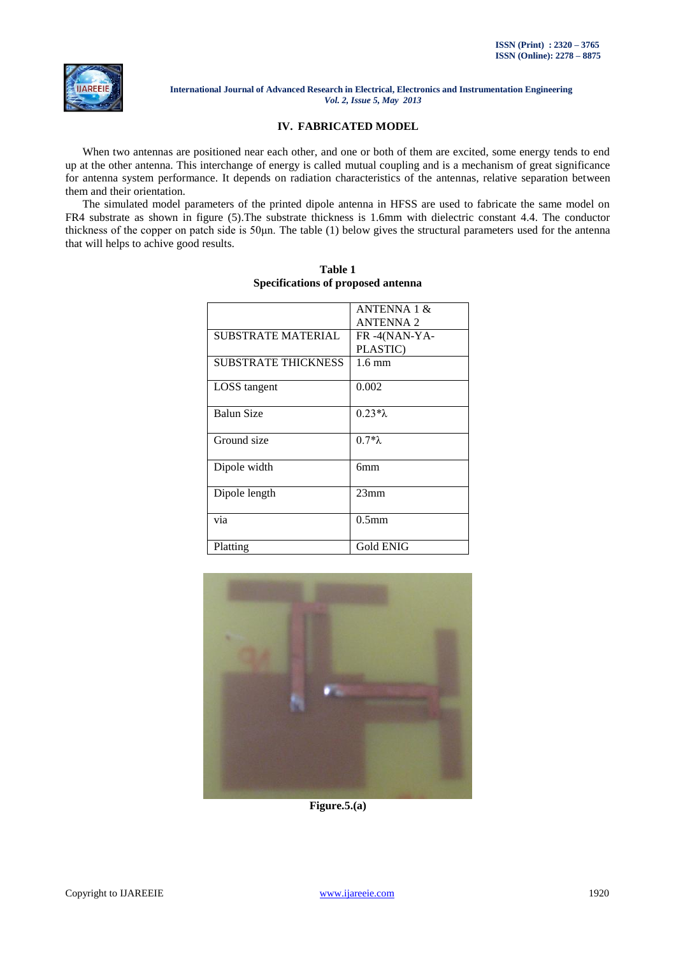

## **IV. FABRICATED MODEL**

 When two antennas are positioned near each other, and one or both of them are excited, some energy tends to end up at the other antenna. This interchange of energy is called mutual coupling and is a mechanism of great significance for antenna system performance. It depends on radiation characteristics of the antennas, relative separation between them and their orientation.

 The simulated model parameters of the printed dipole antenna in HFSS are used to fabricate the same model on FR4 substrate as shown in figure (5).The substrate thickness is 1.6mm with dielectric constant 4.4. The conductor thickness of the copper on patch side is 50μn. The table (1) below gives the structural parameters used for the antenna that will helps to achive good results.

|                            | ANTENNA 1 &<br><b>ANTENNA 2</b> |
|----------------------------|---------------------------------|
|                            |                                 |
| SUBSTRATE MATERIAL         | FR-4(NAN-YA-                    |
|                            | PLASTIC)                        |
| <b>SUBSTRATE THICKNESS</b> | $1.6 \text{ mm}$                |
| LOSS tangent               | 0.002                           |
|                            |                                 |
| Balun Size                 | $0.23 * \lambda$                |
|                            |                                 |
| Ground size                | $0.7*\lambda$                   |
|                            |                                 |
| Dipole width               | 6 <sub>mm</sub>                 |
|                            |                                 |
| Dipole length              | 23mm                            |
|                            |                                 |
| via                        | 0.5 <sub>mm</sub>               |
|                            |                                 |
| Platting                   | <b>Gold ENIG</b>                |

**Table 1 Specifications of proposed antenna**



**Figure.5.(a)**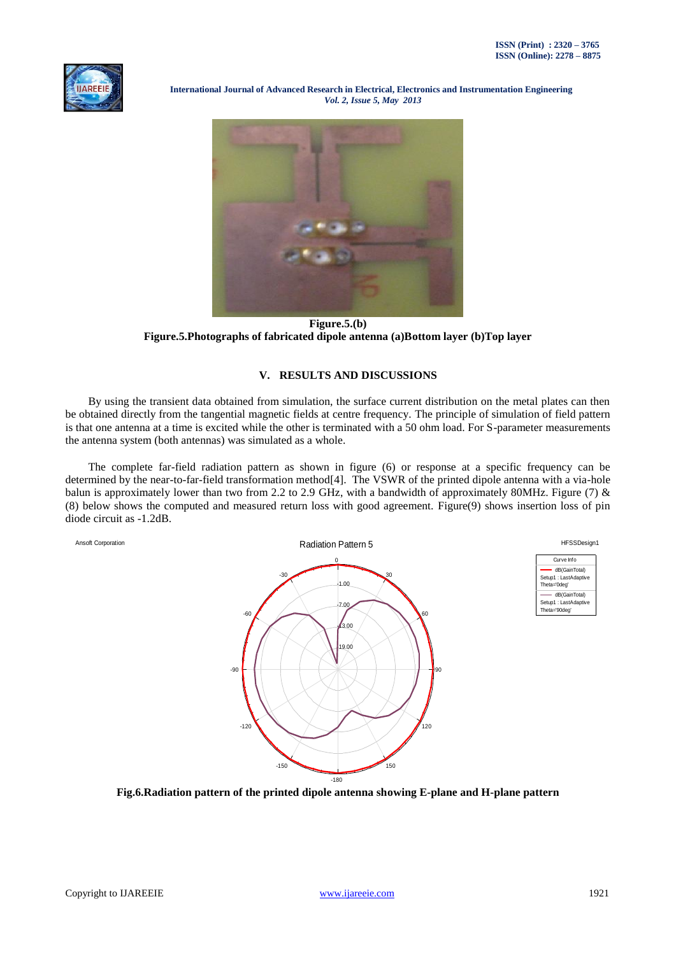



**Figure.5.(b) Figure.5.Photographs of fabricated dipole antenna (a)Bottom layer (b)Top layer**

## **V. RESULTS AND DISCUSSIONS**

 By using the transient data obtained from simulation, the surface current distribution on the metal plates can then be obtained directly from the tangential magnetic fields at centre frequency. The principle of simulation of field pattern is that one antenna at a time is excited while the other is terminated with a 50 ohm load. For S-parameter measurements the antenna system (both antennas) was simulated as a whole.

 The complete far-field radiation pattern as shown in figure (6) or response at a specific frequency can be determined by the near-to-far-field transformation method[4]. The VSWR of the printed dipole antenna with a via-hole balun is approximately lower than two from 2.2 to 2.9 GHz, with a bandwidth of approximately 80MHz. Figure (7)  $\&$ (8) below shows the computed and measured return loss with good agreement. Figure(9) shows insertion loss of pin diode circuit as -1.2dB.



**Fig.6.Radiation pattern of the printed dipole antenna showing E-plane and H-plane pattern**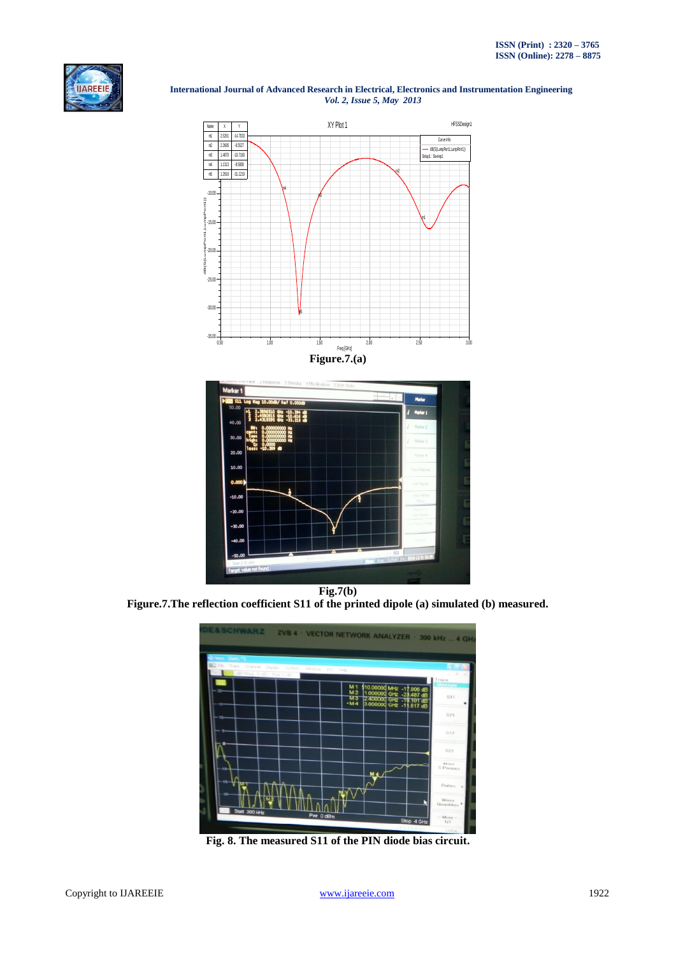



**Figure.7.The reflection coefficient S11 of the printed dipole (a) simulated (b) measured.**



**Fig. 8. The measured S11 of the PIN diode bias circuit.**